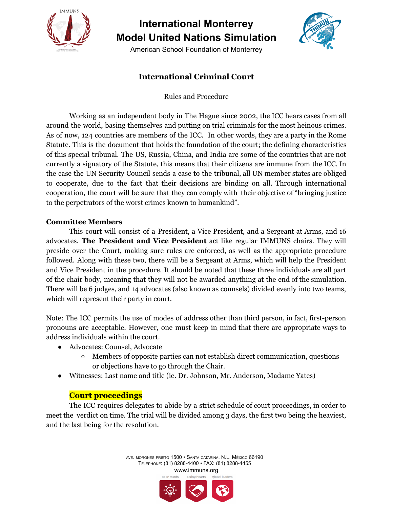

American School Foundation of Monterrey



## **International Criminal Court**

Rules and Procedure

Working as an independent body in The Hague since 2002, the ICC hears cases from all around the world, basing themselves and putting on trial criminals for the most heinous crimes. As of now, 124 countries are members of the ICC. In other words, they are a party in the Rome Statute. This is the document that holds the foundation of the court; the defining characteristics of this special tribunal. The US, Russia, China, and India are some of the countries that are not currently a signatory of the Statute, this means that their citizens are immune from the ICC. In the case the UN Security Council sends a case to the tribunal, all UN member states are obliged to cooperate, due to the fact that their decisions are binding on all. Through international cooperation, the court will be sure that they can comply with their objective of "bringing justice to the perpetrators of the worst crimes known to humankind".

#### **Committee Members**

This court will consist of a President, a Vice President, and a Sergeant at Arms, and 16 advocates. **The President and Vice President** act like regular IMMUNS chairs. They will preside over the Court, making sure rules are enforced, as well as the appropriate procedure followed. Along with these two, there will be a Sergeant at Arms, which will help the President and Vice President in the procedure. It should be noted that these three individuals are all part of the chair body, meaning that they will not be awarded anything at the end of the simulation. There will be 6 judges, and 14 advocates (also known as counsels) divided evenly into two teams, which will represent their party in court.

Note: The ICC permits the use of modes of address other than third person, in fact, first-person pronouns are acceptable. However, one must keep in mind that there are appropriate ways to address individuals within the court.

- Advocates: Counsel, Advocate
	- Members of opposite parties can not establish direct communication, questions or objections have to go through the Chair.
- Witnesses: Last name and title (ie. Dr. Johnson, Mr. Anderson, Madame Yates)

### **Court proceedings**

The ICC requires delegates to abide by a strict schedule of court proceedings, in order to meet the verdict on time. The trial will be divided among 3 days, the first two being the heaviest, and the last being for the resolution.

> AVE. MORONES PRIETO 1500 • SANTA CATARINA, N.L. MÉXICO 66190 TELEPHONE: (81) 8288-4400 • FAX: (81) 8288-4455 www.immuns.orgglobal leader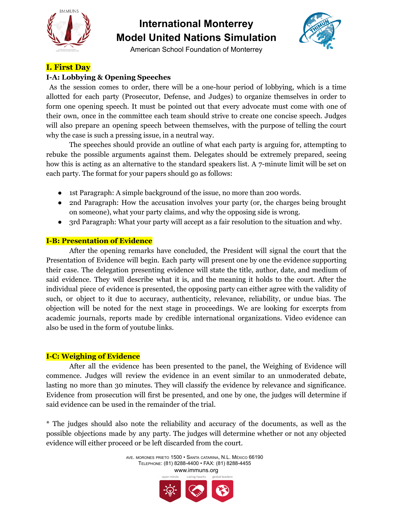



American School Foundation of Monterrey

### **I. First Day**

#### **I-A: Lobbying & Opening Speeches**

As the session comes to order, there will be a one-hour period of lobbying, which is a time allotted for each party (Prosecutor, Defense, and Judges) to organize themselves in order to form one opening speech. It must be pointed out that every advocate must come with one of their own, once in the committee each team should strive to create one concise speech. Judges will also prepare an opening speech between themselves, with the purpose of telling the court why the case is such a pressing issue, in a neutral way.

The speeches should provide an outline of what each party is arguing for, attempting to rebuke the possible arguments against them. Delegates should be extremely prepared, seeing how this is acting as an alternative to the standard speakers list. A 7-minute limit will be set on each party. The format for your papers should go as follows:

- 1st Paragraph: A simple background of the issue, no more than 200 words.
- 2nd Paragraph: How the accusation involves your party (or, the charges being brought on someone), what your party claims, and why the opposing side is wrong.
- 3rd Paragraph: What your party will accept as a fair resolution to the situation and why.

#### **I-B: Presentation of Evidence**

After the opening remarks have concluded, the President will signal the court that the Presentation of Evidence will begin. Each party will present one by one the evidence supporting their case. The delegation presenting evidence will state the title, author, date, and medium of said evidence. They will describe what it is, and the meaning it holds to the court. After the individual piece of evidence is presented, the opposing party can either agree with the validity of such, or object to it due to accuracy, authenticity, relevance, reliability, or undue bias. The objection will be noted for the next stage in proceedings. We are looking for excerpts from academic journals, reports made by credible international organizations. Video evidence can also be used in the form of youtube links.

#### **I-C: Weighing of Evidence**

After all the evidence has been presented to the panel, the Weighing of Evidence will commence. Judges will review the evidence in an event similar to an unmoderated debate, lasting no more than 30 minutes. They will classify the evidence by relevance and significance. Evidence from prosecution will first be presented, and one by one, the judges will determine if said evidence can be used in the remainder of the trial.

\* The judges should also note the reliability and accuracy of the documents, as well as the possible objections made by any party. The judges will determine whether or not any objected evidence will either proceed or be left discarded from the court.

> AVE. MORONES PRIETO 1500 • SANTA CATARINA, N.L. MÉXICO 66190 TELEPHONE: (81) 8288-4400 • FAX: (81) 8288-4455 www.immuns.orgglobal leaders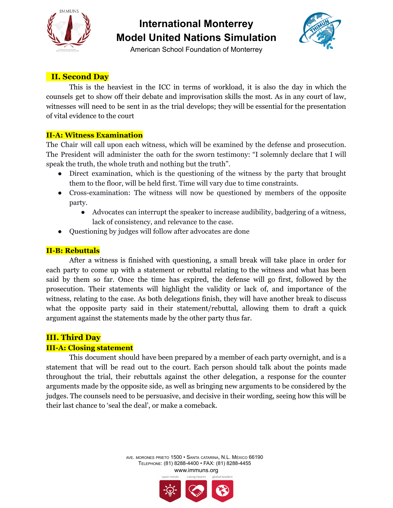



American School Foundation of Monterrey

### **II. Second Day**

This is the heaviest in the ICC in terms of workload, it is also the day in which the counsels get to show off their debate and improvisation skills the most. As in any court of law, witnesses will need to be sent in as the trial develops; they will be essential for the presentation of vital evidence to the court

#### **II-A: Witness Examination**

The Chair will call upon each witness, which will be examined by the defense and prosecution. The President will administer the oath for the sworn testimony: "I solemnly declare that I will speak the truth, the whole truth and nothing but the truth".

- Direct examination, which is the questioning of the witness by the party that brought them to the floor, will be held first. Time will vary due to time constraints.
- Cross-examination: The witness will now be questioned by members of the opposite party.
	- Advocates can interrupt the speaker to increase audibility, badgering of a witness, lack of consistency, and relevance to the case.
- Questioning by judges will follow after advocates are done

#### **II-B: Rebuttals**

After a witness is finished with questioning, a small break will take place in order for each party to come up with a statement or rebuttal relating to the witness and what has been said by them so far. Once the time has expired, the defense will go first, followed by the prosecution. Their statements will highlight the validity or lack of, and importance of the witness, relating to the case. As both delegations finish, they will have another break to discuss what the opposite party said in their statement/rebuttal, allowing them to draft a quick argument against the statements made by the other party thus far.

### **III. Third Day**

#### **III-A: Closing statement**

This document should have been prepared by a member of each party overnight, and is a statement that will be read out to the court. Each person should talk about the points made throughout the trial, their rebuttals against the other delegation, a response for the counter arguments made by the opposite side, as well as bringing new arguments to be considered by the judges. The counsels need to be persuasive, and decisive in their wording, seeing how this will be their last chance to 'seal the deal', or make a comeback.

> AVE. MORONES PRIETO 1500 • SANTA CATARINA, N.L. MÉXICO 66190 TELEPHONE: (81) 8288-4400 • FAX: (81) 8288-4455 www.immuns.orgglobal lead

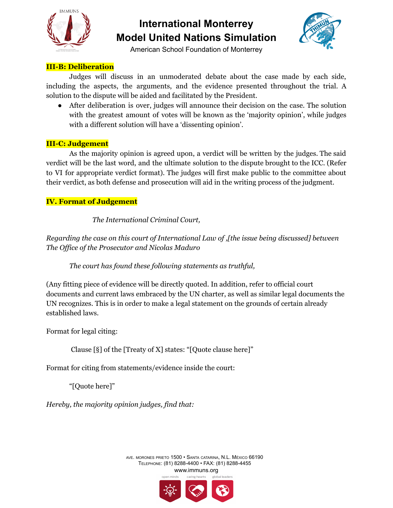



American School Foundation of Monterrey

### **III-B: Deliberation**

Judges will discuss in an unmoderated debate about the case made by each side, including the aspects, the arguments, and the evidence presented throughout the trial. A solution to the dispute will be aided and facilitated by the President.

● After deliberation is over, judges will announce their decision on the case. The solution with the greatest amount of votes will be known as the 'majority opinion', while judges with a different solution will have a 'dissenting opinion'.

#### **III-C: Judgement**

As the majority opinion is agreed upon, a verdict will be written by the judges. The said verdict will be the last word, and the ultimate solution to the dispute brought to the ICC. (Refer to VI for appropriate verdict format). The judges will first make public to the committee about their verdict, as both defense and prosecution will aid in the writing process of the judgment.

### **IV. Format of Judgement**

#### *The International Criminal Court,*

*Regarding the case on this court of International Law of ,[the issue being discussed] between The Of ice of the Prosecutor and Nicolas Maduro*

*The court has found these following statements as truthful,*

(Any fitting piece of evidence will be directly quoted. In addition, refer to official court documents and current laws embraced by the UN charter, as well as similar legal documents the UN recognizes. This is in order to make a legal statement on the grounds of certain already established laws.

Format for legal citing:

Clause [§] of the [Treaty of X] states: "[Quote clause here]"

Format for citing from statements/evidence inside the court:

"[Quote here]"

*Hereby, the majority opinion judges, find that:*

AVE. MORONES PRIETO 1500 • SANTA CATARINA, N.L. MÉXICO 66190 TELEPHONE: (81) 8288-4400 • FAX: (81) 8288-4455 www.immuns.org